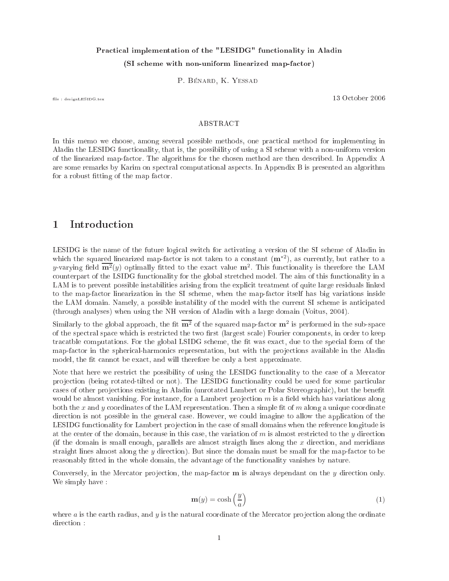# Practical implementation of the "LESIDG" functionality in Aladin (SI scheme with non-uniform linearized map-factor)

P. Bénard, K. Yessad

le : designLESIDG.tex 13 O
tober 2006

#### ABSTRACT

In this memo we choose, among several possible methods, one practical method for implementing in Aladin the LESIDG fun
tionality, that is, the possibility of using a SI s
heme with a non-uniform version of the linearized map-fa
tor. The algorithms for the hosen method are then des
ribed. In Appendix A are some remarks by Karim on spectral computational aspects. In Appendix B is presented an algorithm for a robust fitting of the map factor.

#### Introduction  $\mathbf{1}$

LESIDG is the name of the future logical switch for activating a version of the SI scheme of Aladin in which the squared linearized map-factor is not taken to a constant  $(m^{*2})$ , as currently, but rather to a y-varying field  $\overline{\mathbf{m}^2}(y)$  optimally fitted to the exact value  $\mathbf{m}^2$ . This functionality is therefore the LAM counterpart of the LSIDG functionality for the global stretched model. The aim of this functionality in a LAM is to prevent possible instabilities arising from the explicit treatment of quite large residuals linked to the map-fa
tor linearization in the SI s
heme, when the map-fa
tor itself has big variations inside the LAM domain. Namely, a possible instability of the model with the current SI scheme is anticipated (through analyses) when using the NH version of Aladin with a large domain (Voitus, 2004).

Similarly to the global approach, the fit  $\overline{m^2}$  of the squared map-factor  $m^2$  is performed in the sub-space of the spectral space which is restricted the two first (largest scale) Fourier components, in order to keep tracatble computations. For the global LSIDG scheme, the fit was exact, due to the special form of the map-factor in the spherical-harmonics representation, but with the projections available in the Aladin model, the fit cannot be exact, and will therefore be only a best approximate.

Note that here we restrict the possibility of using the LESIDG functionality to the case of a Mercator projection (being rotated-tilted or not). The LESIDG functionality could be used for some particular cases of other projections existing in Aladin (unrotated Lambert or Polar Stereographic), but the benefit would be almost vanishing. For instance, for a Lambert projection  $m$  is a field which has variations along both the x and y coordinates of the LAM representation. Then a simple fit of  $m$  along a unique coordinate direction is not possible in the general case. However, we could imagine to allow the application of the LESIDG functionality for Lambert projection in the case of small domains when the reference longitude is at the center of the domain, because in this case, the variation of  $m$  is almost restricted to the  $y$  direction (if the domain is small enough, parallels are almost straigth lines along the  $x$  direction, and meridians straight lines almost along the  $y$  direction). But since the domain must be small for the map-factor to be reasonably fitted in the whole domain, the advantage of the functionality vanishes by nature.

Conversely, in the Mercator projection, the map-factor **m** is always dependant on the  $\gamma$  direction only. We simply have :

$$
\mathbf{m}(y) = \cosh\left(\frac{y}{a}\right) \tag{1}
$$

where a is the earth radius, and  $y$  is the natural coordinate of the Mercator projection along the ordinate direction: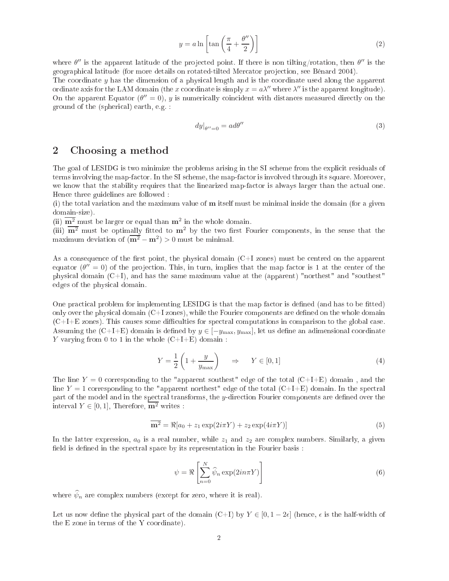$$
y = a \ln \left[ \tan \left( \frac{\pi}{4} + \frac{\theta''}{2} \right) \right] \tag{2}
$$

where  $\theta''$  is the apparent latitude of the projected point. If there is non tilting/rotation, then  $\theta''$  is the geographi
al latitude (for more details on rotated-tilted Mer
ator pro je
tion, see Bénard 2004). The coordinate  $y$  has the dimension of a physical length and is the coordinate used along the apparent ordinate axis for the LAM domain (the x coordinate is simply  $x = a\lambda''$  where  $\lambda''$  is the apparent longitude).

On the apparent Equator  $(\theta'' = 0)$ , y is numerically coincident with distances measured directly on the ground of the (spheri
al) earth, e.g. :

$$
dy|_{\theta''=0} = ad\theta'' \tag{3}
$$

## 2 Choosing a method

The goal of LESIDG is two minimize the problems arising in the SI scheme from the explicit residuals of terms involving the map-fa
tor. In the SI s
heme, the map-fa
tor is involved through its square. Moreover, we know that the stability requires that the linearized map-factor is always larger than the actual one. Hen
e three guidelines are followed :

(i) the total variation and the maximum value of  **itself must be minimal inside the domain (for a given** domain-size).

(ii)  $\overline{m^2}$  must be larger or equal than  $m^2$  in the whole domain.

(iii)  $\overline{m^2}$  must be optimally fitted to  $m^2$  by the two first Fourier components, in the sense that the maximum deviation of  $(\overline{m^2} - m^2) > 0$  must be minimal.

As a consequence of the first point, the physical domain  $(C+I)$  zones) must be centred on the apparent equator  $(\theta' = 0)$  of the projection. This, in turn, implies that the map factor is 1 at the center of the physi
al domain (C+I), and has the same maximum value at the (apparent) "northest" and "southest" edges of the physi
al domain.

One practical problem for implementing LESIDG is that the map factor is defined (and has to be fitted) only over the physical domain  $(C+I)$  zones), while the Fourier components are defined on the whole domain  $(C+I+E)$  zones). This causes some difficulties for spectral computations in comparison to the global case. Assuming the  $(C+I+E)$  domain is defined by  $y \in [-y_{\text{max}}, y_{\text{max}}]$ , let us define an adimensional coordinate Y varying from 0 to 1 in the whole  $(C+I+E)$  domain :

$$
Y = \frac{1}{2} \left( 1 + \frac{y}{y_{\text{max}}} \right) \quad \Rightarrow \quad Y \in [0, 1] \tag{4}
$$

The line  $Y = 0$  corresponding to the "apparent southest" edge of the total  $(C+I+E)$  domain, and the line  $Y = 1$  corresponding to the "apparent northest" edge of the total  $(C+I+E)$  domain. In the spectral part of the model and in the spectral transforms, the  $y$ -direction Fourier components are defined over the interval  $Y \in [0, 1]$ , Therefore,  $\overline{\mathbf{m}^2}$  writes :

$$
\overline{\mathbf{m}^2} = \Re[a_0 + z_1 \exp(2i\pi Y) + z_2 \exp(4i\pi Y)] \tag{5}
$$

In the latter expression,  $a_0$  is a real number, while  $z_1$  and  $z_2$  are complex numbers. Similarly, a given field is defined in the spectral space by its representation in the Fourier basis :

$$
\psi = \Re \left[ \sum_{n=0}^{N} \widehat{\psi}_n \exp(2in\pi Y) \right]
$$
\n(6)

where  $\widehat{\psi}_n$  are complex numbers (except for zero, where it is real).

Let us now define the physical part of the domain  $(C+I)$  by  $Y \in [0, 1-2\epsilon]$  (hence,  $\epsilon$  is the half-width of the E zone in terms of the Y coordinate).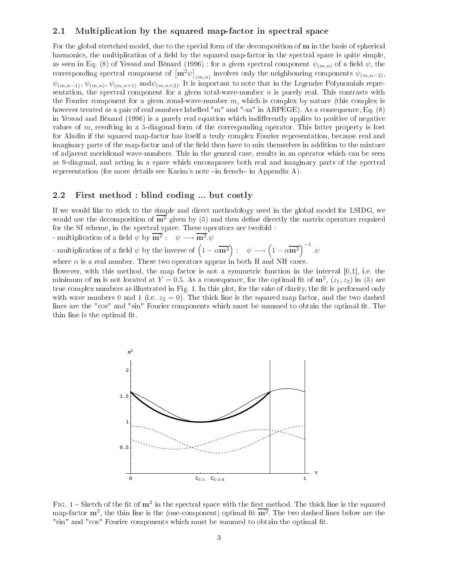## 2.1 Multiplication by the squared map-factor in spectral space

For the global stretched model, due to the special form of the decomposition of **m** in the basis of spherical harmonics, the multiplication of a field by the squared map-factor in the spectral space is quite simple, as seen in Eq. (8) of Yessad and Bénard (1996) : for a given spectral component  $\psi_{(m,n)}$  of a field  $\psi$ , the corresponding spectral component of  $\left[\mathbf{m}^2\psi\right]_{(m,n)}$  involves only the neighbouring components  $\psi_{(m,n-2)}$ ,  $\psi_{(m,n-1)},\,\psi_{(m,n)},\,\psi_{(m,n+1)}$  and $\psi_{(m,n+2)}$ . It is important to note that in the Legendre Polynomials representation, the spectral component for a given total-wave-number  $n$  is purely real. This contrasts with the Fourier component for a given zonal-wave-number  $m$ , which is complex by nature (this complex is however treated as a pair of real numbers labelled "m" and "-m" in ARPEGE). As a consequence, Eq. (8) in Yessad and Bénard (1996) is a purely real equation which indifferently applies to positive of negative values of m, resulting in a 5-diagonal form of the orresponding operator. This latter property is lost for Aladin if the squared map-factor has itself a truly complex Fourier representation, because real and imaginary parts of the map-factor and of the field then have to mix themselves in addition to the mixture of adjacent meridional wave-numbers. This in the general case, results in an operator which can be seen as 9-diagonal, and acting in a space which encompasses both real and imaginary parts of the spectral representation (for more details see Karim's note  $\text{-}$ in french $\text{-}$  in Appendix A).

### 2.2 First method : blind coding ... but costly

If we would like to sti
k to the simple and dire
t methodology used in the global model for LSIDG, we would use the decomposition of  $\overline{m^2}$  given by (5) and then define directly the matrix operators required for the SI scheme, in the spectral space. These operators are twofold :

- multiplication of a field  $\psi$  by  $\overline{\mathbf{m}^2}$ :  $\psi \longrightarrow \overline{\mathbf{m}^2}$ . $\psi$ 

- multiplication of a field  $\psi$  by the inverse of  $(1 - \alpha \overline{m^2})$  :  $\psi \longrightarrow (1 - \alpha \overline{m^2})^{-1}$ .

where  $\alpha$  is a real number. These two operators appear in both H and NH cases.

However, with this method, the map factor is not a symmetric function in the interval  $[0,1]$ , i.e. the minimum of **m** is not located at  $Y = 0.5$ . As a consequence, for the optimal fit of  $\mathbf{m}^2$ ,  $(z_1, z_2)$  in (5) are true complex numbers as illustrated in Fig. 1. In this plot, for the sake of clarity, the fit is performed only with wave numbers 0 and 1 (i.e.  $z_2 = 0$ ). The thick line is the squared map factor, and the two dashed lines are the "cos" and "sin" Fourier components which must be summed to obtain the optimal fit. The thin line is the optimal fit.



FIG. 1 – Sketch of the fit of  $m^2$  in the spectral space with the first method. The thick line is the squared map-factor  $\mathbf{m}^2$ , the thin line is the (one-component) optimal fit  $\overline{\mathbf{m}^2}$ . The two dashed lines below are the "sin" and "cos" Fourier components which must be summed to obtain the optimal fit.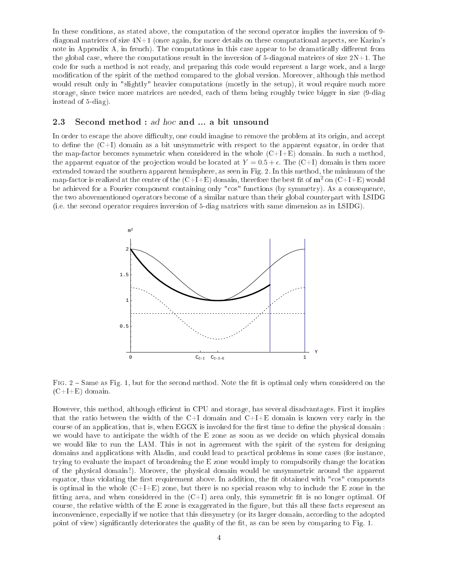In these conditions, as stated above, the computation of the second operator implies the inversion of 9diagonal matrices of size  $4N+1$  (once again, for more details on these computational aspects, see Karim's note in Appendix A, in french). The computations in this case appear to be dramatically different from the global case, where the computations result in the inversion of 5-diagonal matrices of size  $2N+1$ . The code for such a method is not ready, and preparing this code would represent a large work, and a large modification of the spirit of the method compared to the global version. Moreover, although this method would result only in "slightly" heavier computations (mostly in the setup), it woul require much more storage, since twice more matrices are needed, each of them being roughly twice bigger in size (9-diag instead of 5-diag).

## 2.3 Second method : ad hoc and ... a bit unsound

In order to escape the above difficulty, one could imagine to remove the problem at its origin, and accept to define the  $(C+I)$  domain as a bit unsymmetric with respect to the apparent equator, in order that the map-factor becomes symmetric when considered in the whole  $(C+I+E)$  domain. In such a method, the apparent equator of the projection would be located at  $Y = 0.5 + \epsilon$ . The  $(C+I)$  domain is then more extended toward the southern apparent hemisphere, as seen in Fig. 2. In this method, the minimum of the map-factor is realized at the center of the  $(C+I+E)$  domain, therefore the best fit of  $m^2$  on  $(C+I+E)$  would be achieved for a Fourier component containing only "cos" functions (by symmetry). As a consequence, the two abovementioned operators be
ome of a similar nature than their global ounterpart with LSIDG (i.e. the se
ond operator requires inversion of 5-diag matri
es with same dimension as in LSIDG).



Fig. 2 Same as Fig. 1, but for the se
ond method. Note the t is optimal only when onsidered on the  $(C+I+E)$  domain.

However, this method, although efficient in CPU and storage, has several disadvantages. First it implies that the ratio between the width of the  $C+I$  domain and  $C+I+E$  domain is known very early in the course of an application, that is, when EGGX is invoked for the first time to define the physical domain : we would have to anticipate the width of the E zone as soon as we decide on which physical domain we would like to run the LAM. This is not in agreement with the spirit of the system for designing domains and applications with Aladin, and could lead to practical problems in some cases (for instance, trying to evaluate the impact of broadening the E zone would imply to compulsorily change the location of the physi
al domain !). Morover, the physi
al domain would be unsymmetri around the apparent equator, thus violating the first requirement above. In addition, the fit obtained with "cos" components is optimal in the whole  $(C+I+E)$  zone, but there is no special reason why to include the E zone in the fitting area, and when considered in the  $(C+I)$  area only, this symmetric fit is no longer optimal. Of course, the relative width of the E zone is exaggerated in the figure, but this all these facts represent an inconvenience, especially if we notice that this dissymetry (or its larger domain, according to the adopted point of view) significantly deteriorates the quality of the fit, as can be seen by comparing to Fig. 1.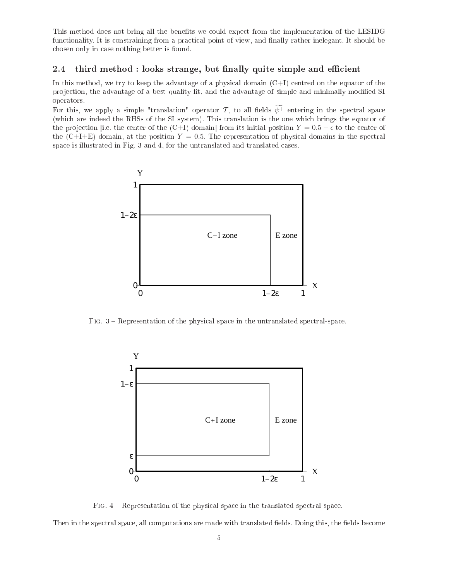This method does not bring all the benefits we could expect from the implementation of the LESIDG functionality. It is constraining from a practical point of view, and finally rather inelegant. It should be hosen only in ase nothing better is found.

## 2.4 third method : looks strange, but finally quite simple and efficient

In this method, we try to keep the advantage of a physical domain  $(C+I)$  centred on the equator of the projection, the advantage of a best quality fit, and the advantage of simple and minimally-modified SI operators.

For this, we apply a simple "translation" operator T, to all fields  $\widetilde{\psi^+}$  entering in the spectral space (whi
h are indeed the RHSs of the SI system). This translation is the one whi
h brings the equator of the projection [i.e. the center of the  $(C+I)$  domain] from its initial position  $Y = 0.5 - \epsilon$  to the center of the  $(C+I+E)$  domain, at the position  $Y=0.5$ . The representation of physical domains in the spectral space is illustrated in Fig. 3 and 4, for the untranslated and translated cases.



Fig. 3 Representation of the physi
al spa
e in the untranslated spe
tral-spa
e.



Fig. 4 Representation of the physi
al spa
e in the translated spe
tral-spa
e.

Then in the spectral space, all computations are made with translated fields. Doing this, the fields become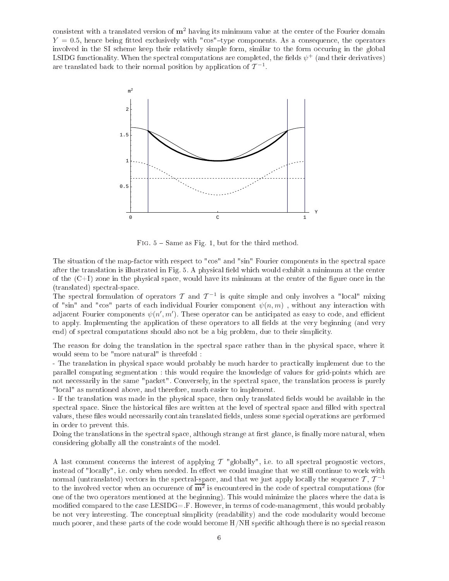consistent with a translated version of  $m<sup>2</sup>$  having its minimum value at the center of the Fourier domain  $Y = 0.5$ , hence being fitted exclusively with "cos"-type components. As a consequence, the operators involved in the SI scheme keep their relatively simple form, similar to the form occuring in the global LSIDG functionality. When the spectral computations are completed, the fields  $\psi^+$  (and their derivatives) are translated back to their normal position by application of  $\mathcal{T}^{-1}$ .



Fig. 5 Same as Fig. 1, but for the third method.

The situation of the map-factor with respect to "cos" and "sin" Fourier components in the spectral space after the translation is illustrated in Fig. 5. A physical field which would exhibit a minimum at the center of the  $(C+I)$  zone in the physical space, would have its minimum at the center of the figure once in the (translated) spe
tral-spa
e.

The spectral formulation of operators T and  $T^{-1}$  is quite simple and only involves a "local" mixing of "sin" and "cos" parts of each individual Fourier component  $\psi(n,m)$ , without any interaction with adjacent Fourier components  $\psi(n',m')$ . These operator can be anticipated as easy to code, and efficient to apply. Implementing the application of these operators to all fields at the very beginning (and very end) of spectral computations should also not be a big problem, due to their simplicity.

The reason for doing the translation in the spectral space rather than in the physical space, where it would seem to be "more natural" is threefold :

- The translation in physical space would probably be much harder to practically implement due to the parallel omputing segmentation : this would require the knowledge of values for grid-points whi
h are not necessarily in the same "packet". Conversely, in the spectral space, the translation process is purely "lo
al" as mentioned above, and therefore, mu
h easier to implement.

- If the translation was made in the physical space, then only translated fields would be available in the spectral space. Since the historical files are written at the level of spectral space and filled with spectral values, these files would necessarily contain translated fields, unless some special operations are performed in order to prevent this.

Doing the translations in the spectral space, although strange at first glance, is finally more natural, when onsidering globally all the onstraints of the model.

A last comment concerns the interest of applying  $\mathcal T$  "globally", i.e. to all spectral prognostic vectors, instead of "locally", i.e. only when needed. In effect we could imagine that we still continue to work with normal (untranslated) vectors in the spectral-space, and that we just apply locally the sequence  $\mathcal{T}, \mathcal{T}^{-1}$ to the involved vector when an occurence of  $\overline{m^2}$  is encountered in the code of spectral computations (for one of the two operators mentioned at the beginning). This would minimize the pla
es where the data is modified compared to the case  $LESIDG = F$ . However, in terms of code-management, this would probably be not very interesting. The conceptual simplicity (readability) and the code modularity would become much poorer, and these parts of the code would become  $H/NH$  specific although there is no special reason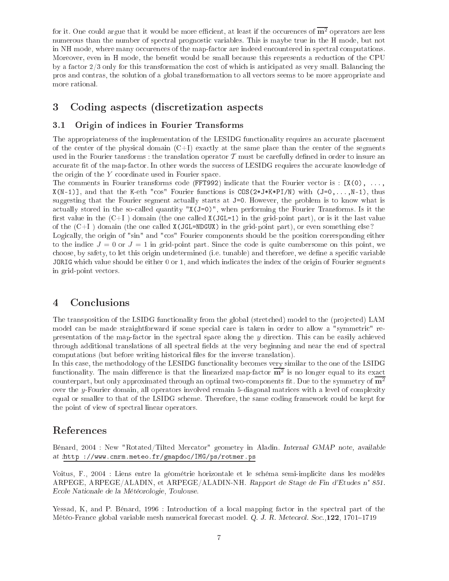for it. One could argue that it would be more efficient, at least if the occurences of  $\overline{m^2}$  operators are less numerous than the number of spectral prognostic variables. This is maybe true in the H mode, but not in NH mode, where many occurences of the map-factor are indeed encountered in spectral computations. Moreover, even in H mode, the benefit would be small because this represents a reduction of the CPU by a factor  $2/3$  only for this transformation the cost of which is anticipated as very small. Balancing the pros and ontras, the solution of a global transformation to all ve
tors seems to be more appropriate and more rational.

#### Coding aspects (discretization aspects 3

## 3.1 Origin of indi
es in Fourier Transforms

The appropriateness of the implementation of the LESIDG functionality requires an accurate placement of the center of the physical domain  $(C+I)$  exactly at the same place than the center of the segments used in the Fourier tansforms : the translation operator  $\mathcal T$  must be carefully defined in order to insure an accurate fit of the map-factor. In other words the success of LESIDG requires the accurate knowledge of the origin of the Y oordinate used in Fourier spa
e.

The comments in Fourier transforms code (FFT992) indicate that the Fourier vector is :  $[X(0), \ldots,$  $X(N-1)$ , and that the K-eth "cos" Fourier functions is COS(2\*J\*K\*PI/N) with (J=0,...,N-1), thus suggesting that the Fourier segment actually starts at J=0. However, the problem is to know what is actually stored in the so-called quantity "X(J=0)", when performing the Fourier Transforms. Is it the first value in the  $(C+I)$  domain (the one called  $X(JGL=1)$  in the grid-point part), or is it the last value of the  $(C+I)$  domain (the one called **X(JGL=NDGUX)** in the grid-point part), or even something else?

Logically, the origin of "sin" and "cos" Fourier components should be the position corresponding either to the indice  $J = 0$  or  $J = 1$  in grid-point part. Since the code is quite cumbersome on this point, we choose, by safety, to let this origin undetermined (i.e. tunable) and therefore, we define a specific variable JORIG which value should be either 0 or 1, and which indicates the index of the origin of Fourier segments in grid-point ve
tors.

#### $\overline{\mathbf{4}}$ **Conclusions**

The transposition of the LSIDG functionality from the global (stretched) model to the (projected) LAM model can be made straightforward if some special care is taken in order to allow a "symmetric" representation of the map-factor in the spectral space along the  $\eta$  direction. This can be easily achieved through additional translations of all spectral fields at the very beginning and near the end of spectral computations (but before writing historical files for the inverse translation).

In this ase, the methodology of the LESIDG fun
tionality be
omes very similar to the one of the LSIDG functionality. The main difference is that the linearized map-factor  $\overline{m^2}$  is no longer equal to its exact counterpart, but only approximated through an optimal two-components fit. Due to the symmetry of  $\overline{m^2}$ over the y-Fourier domain, all operators involved remain 5-diagonal matrices with a level of complexity equal or smaller to that of the LSIDG s
heme. Therefore, the same oding framework ould be kept for the point of view of spe
tral linear operators.

## Referen
es

Bénard, 2004 : New "Rotated/Tilted Mercator" geometry in Aladin. Internal GMAP note, available at :http ://www.
nrm.meteo.fr/gmapdo
/IMG/ps/rotmer.ps

Voitus, F., 2004 : Liens entre la géométrie horizontale et le schéma semi-implicite dans les modèles ARPEGE, ARPEGE/ALADIN, et ARPEGE/ALADIN-NH. Rapport de Stage de Fin d'Etudes n° 851. E
ole Nationale de la Météorologie, Toulouse.

Yessad, K, and P. Bénard, 1996 : Introduction of a local mapping factor in the spectral part of the Météo-France global variable mesh numerical forecast model. Q. J. R. Meteorol. Soc.,122, 1701–1719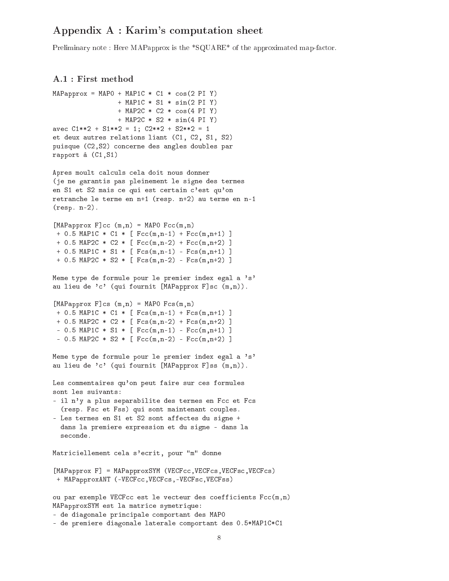## Appendix A : Karim's omputation sheet

Preliminary note : Here MAPapprox is the \*SQUARE\* of the approximated map-factor.

## A.1 : First method

```
MAPapprox = MAP0 + MAP1C * C1 * cos(2 PI Y)+ MAP1C * S1 * sin(2 PI Y)
                 + MAP2C * C2 * cos(4 PI Y)
                 + MAP2C * S2 * sin(4 PI Y)
ave
 C1**2 + S1**2 = 1; C2**2 + S2**2 = 1
et deux autres relations liant (C1, C2, S1, S2)
puisque (C2,S2) 
on
erne des angles doubles par
rapport à (C1,S1)
Apres moult calculs cela doit nous donner
(je ne garantis pas pleinement le signe des termes
en S1 et S2 mais ce qui est certain c'est qu'on
retran
he le terme en n+1 (resp. n+2) au terme en n-1
(resp. n-2).
[MAPapprox F]cc (m,n) = MAPO Fcc(m,n)+ 0.5 MAP1C * C1 * [ Fcc(m,n-1) + Fcc(m,n+1) ]
+ 0.5 MAP2C * C2 * [ Fcc(m, n-2) + Fcc(m, n+2) ]+ 0.5 MAP1C * S1 * [ Fcs(m,n-1) - Fcs(m,n+1) ]
+ 0.5 MAP2C * S2 * [ Fcs(m,n-2) - Fcs(m,n+2) ]
Meme type de formule pour le premier index egal a 's'
au lieu de 'c' (qui fournit [MAPapprox F]sc (m,n)).
[MAPapprox F]cs (m,n) = MAPO Fcs(m,n)+ 0.5 MAP1C * C1 * [ Fcs(m,n-1) + Fcs(m,n+1) ]
+ 0.5 MAP2C * C2 * [Fcs(m,n-2) + Fcs(m,n+2)]- 0.5 MAP1C * S1 * [ Fcc(m,n-1) - Fcc(m,n+1) ]
- 0.5 MAP2C * S2 * [ Fcc(m,n-2) - Fcc(m,n+2) ]
Meme type de formule pour le premier index egal a 's'
au lieu de 'c' (qui fournit [MAPapprox F]ss (m,n)).
Les commentaires qu'on peut faire sur ces formules
sont les suivants:
- il n'y a plus separabilite des termes en Fcc et Fcs
 (resp. Fsc et Fss) qui sont maintenant couples.
- Les termes en S1 et S2 sont affectes du signe +
 dans la premiere expression et du signe - dans la
  se
onde.
Matriciellement cela s'ecrit, pour "m" donne
[MAPapprox F] = MAPapproxSYM (VECFcc, VECFcs, VECFsc, VECFcs)
+ MAPapproxANT (-VECFcc, VECFcs, -VECFsc, VECFss)
ou par exemple VECFcc est le vecteur des coefficients Fcc(m,n)
MAPapproxSYM est la matri
e symetrique:
- de diagonale principale comportant des MAPO
- de premiere diagonale laterale comportant des 0.5*MAP1C*C1
```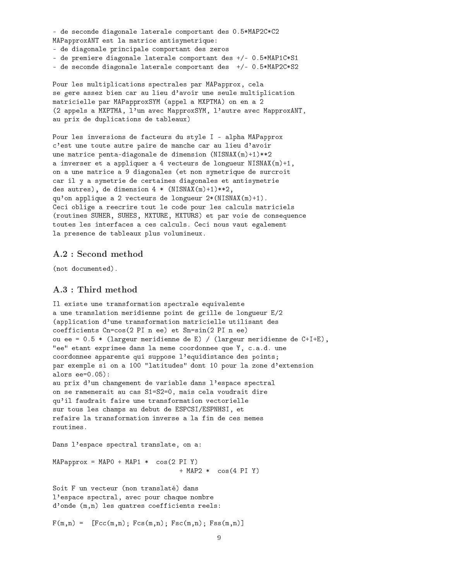- de seconde diagonale laterale comportant des 0.5\*MAP2C\*C2 MAPapproxANT est la matri
e antisymetrique:

- de diagonale prin
ipale omportant des zeros

- de premiere diagonale laterale comportant des +/- 0.5\*MAP1C\*S1

- de seconde diagonale laterale comportant des +/- 0.5\*MAP2C\*S2

Pour les multiplications spectrales par MAPapprox, cela se gere assez bien car au lieu d'avoir une seule multiplication matri
ielle par MAPapproxSYM (appel a MXPTMA) on en a 2 (2 appels a MXPTMA, l'un ave MapproxSYM, l'autre ave MapproxANT, au prix de duplications de tableaux)

Pour les inversions de facteurs du style I - alpha MAPapprox c'est une toute autre paire de manche car au lieu d'avoir une matrice penta-diagonale de dimension (NISNAX(m)+1)\*\*2 a inverser et a appliquer a 4 ve
teurs de longueur NISNAX(m)+1, on a une matrice a 9 diagonales (et non symetrique de surcroit ar il y a symetrie de ertaines diagonales et antisymetrie des autres), de dimension  $4 * (NISNAX(m) + 1) **2$ , qu'on applique a 2 ve
teurs de longueur 2\*(NISNAX(m)+1). Ceci oblige a reecrire tout le code pour les calculs matriciels (routines SUHER, SUHES, MXTURE, MXTURS) et par voie de onsequen
e toutes les interfaces a ces calculs. Ceci nous vaut egalement la presen
e de tableaux plus volumineux.

## A.2 : Second method

(not documented).

## A.3 : Third method

```
Il existe une transformation spe
trale equivalente
a une translation meridienne point de grille de longueur E/2
(application d'une transformation matricielle utilisant des

oeffi
ients Cn=
os(2 PI n ee) et Sn=sin(2 PI n ee)
ou ee = 0.5 * (largeur meridienne de E) / (largeur meridienne de C+I+E),
"ee" etant exprimee dans la meme coordonnee que Y, c.a.d. une

oordonnee apparente qui suppose l'equidistan
e des points;
par exemple si on a 100 "latitudes" dont 10 pour la zone d'extension
alors ee=0.05):
au prix d'un changement de variable dans l'espace spectral
on se ramenerait au 
as S1=S2=0, mais 
ela voudrait dire
qu'il faudrait faire une transformation ve
torielle
sur tous les 
hamps au debut de ESPCSI/ESPNHSI, et
refaire la transformation inverse a la fin de 
es memes
routines.
Dans l'espa
e spe
tral translate, on a:
MAPapprox = MAP0 + MAP1 * cos(2 PI Y)+ MAP2 * 
os(4 PI Y)
Soit F un vecteur (non translaté) dans
l'espace spectral, avec pour chaque nombre
d'onde (m,n) les quatres coefficients reels:
```
 $F(m,n) = [Fcc(m,n); Fcs(m,n); Fsc(m,n); Fss(m,n)]$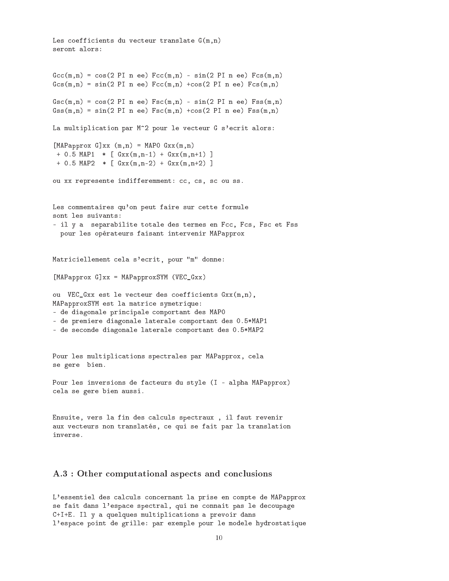```
Les coefficients du vecteur translate G(m, n)seront alors:
Gcc(m,n) = cos(2 PI n ee) Fcc(m,n) - sin(2 PI n ee) Fcs(m,n)Gcs(m,n) = sin(2 PI n ee) Fcc(m,n) + cos(2 PI n ee) Fcs(m,n)Gsc(m,n) = cos(2 PI n ee) Fsc(m,n) - sin(2 PI n ee) Fss(m,n)Gss(m,n) = sin(2 PI n ee) Fsc(m,n) + cos(2 PI n ee) Fss(m,n)La multiplication par M^2 pour le vecteur G s'ecrit alors:
[MAPapprox G]xx (m,n) = MAPO Gxx(m,n)+ 0.5 MAP1 * [ Gxx(m,n-1) + Gxx(m,n+1) ]
+ 0.5 MAP2 * [ Gxx(m,n-2) + Gxx(m,n+2) ]
ou xx represente indifferemment: cc, cs, sc ou ss.
Les commentaires qu'on peut faire sur cette formule
sont les suivants:
- il y a separabilite totale des termes en Fcc, Fcs, Fsc et Fss
  pour les opérateurs faisant intervenir MAPapprox
Matriciellement cela s'ecrit, pour "m" donne:
[MAPapprox G]xx = MAPapproxSW (VEC_Gxx)ou VEC_Gxx est le vecteur des coefficients Gxx(m,n),
MAPapproxSYM est la matri
e symetrique:
- de diagonale principale comportant des MAPO
- de premiere diagonale laterale comportant des 0.5*MAP1
- de seconde diagonale laterale comportant des 0.5*MAP2
Pour les multiplications spectrales par MAPapprox, cela
se gere bien.
Pour les inversions de facteurs du style (I - alpha MAPapprox)

ela se gere bien aussi.
Ensuite, vers la fin des calculs spectraux, il faut revenir
aux vecteurs non translatés, ce qui se fait par la translation
inverse.
```
## A.3 : Other computational aspects and conclusions

L'essentiel des calculs concernant la prise en compte de MAPapprox se fait dans l'espace spectral, qui ne connait pas le decoupage C+I+E. Il y a quelques multiplications a prevoir dans l'espa
e point de grille: par exemple pour le modele hydrostatique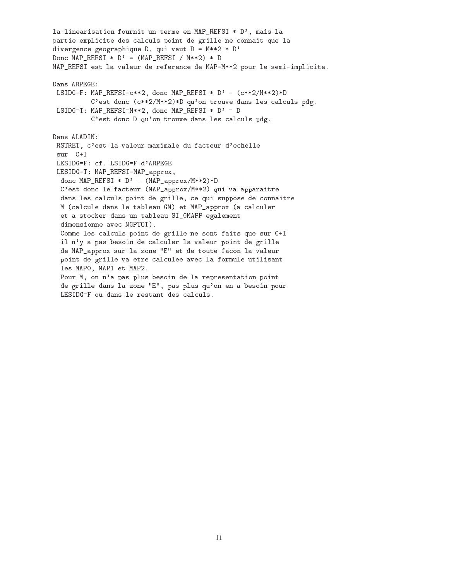la linearisation fournit un terme en MAP\_REFSI \* D', mais la partie explicite des calculs point de grille ne connait que la divergen
e geographique D, qui vaut D = M\*\*2 \* D' Donc MAP REFSI  $*$  D' = (MAP REFSI / M $**2$ )  $*$  D MAP\_REFSI est la valeur de reference de MAP=M\*\*2 pour le semi-implicite. Dans ARPEGE: LSIDG=F: MAP\_REFSI=c\*\*2, donc MAP\_REFSI \* D' =  $(c**2/M**2)*D$ C'est donc (c\*\*2/M\*\*2)\*D qu'on trouve dans les calculs pdg. LSIDG=T: MAP\_REFSI=M\*\*2, donc MAP\_REFSI \*  $D' = D$ C'est donc D qu'on trouve dans les calculs pdg. Dans ALADIN: RSTRET, c'est la valeur maximale du facteur d'echelle sur C+I LESIDG=F: cf. LSIDG=F d'ARPEGE LESIDG=T: MAP\_REFSI=MAP\_approx, don MAP\_REFSI \* D' = (MAP\_approx/M\*\*2)\*D C'est donc le facteur (MAP\_approx/M\*\*2) qui va apparaitre dans les calculs point de grille, ce qui suppose de connaitre M (calcule dans le tableau GM) et MAP approx (a calculer et a sto
ker dans un tableau SI\_GMAPP egalement dimensionne ave NGPTOT). Comme les calculs point de grille ne sont faits que sur C+I il n'y a pas besoin de calculer la valeur point de grille de MAP\_approx sur la zone "E" et de toute fa
on la valeur point de grille va etre calculee avec la formule utilisant les MAP0, MAP1 et MAP2. Pour M, on n'a pas plus besoin de la representation point de grille dans la zone "E", pas plus qu'on en a besoin pour LESIDG=F ou dans le restant des calculs.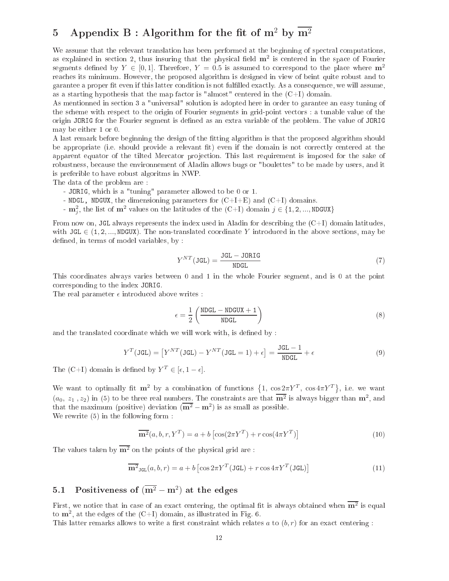# 5 Appendix B : Algorithm for the fit of  $m^2$  by  $\overline{m^2}$

We assume that the relevant translation has been performed at the beginning of spectral computations, as explained in section 2, thus insuring that the physical field  $m^2$  is centered in the space of Fourier segments defined by  $Y \in [0,1]$ . Therefore,  $Y = 0.5$  is assumed to correspond to the place where  $m^2$ rea
hes its minimum. However, the proposed algorithm is designed in view of beint quite robust and to garantee a proper fit even if this latter condition is not fulfilled exactly. As a consequence, we will assume, as a starting hypothesis that the map factor is "almost" centered in the  $(C+I)$  domain.

As mentionned in se
tion 3 a "universal" solution is adopted here in order to garantee an easy tuning of the s
heme with respe
t to the origin of Fourier segments in grid-point ve
tors : a tunable value of the origin JORIG for the Fourier segment is defined as an extra variable of the problem. The value of JORIG may be either 1 or 0.

A last remark before beginning the design of the tting algorithm is that the proposed algorithm should be appropriate (i.e. should provide a relevant fit) even if the domain is not correctly centered at the apparent equator of the tilted Mercator projection. This last requirement is imposed for the sake of robustness, be
ause the environnement of Aladin allows bugs or "boulettes" to be made by users, and it is preferible to have robust algoritms in NWP.

The data of the problem are :

- JORIG, whi
h is a "tuning" parameter allowed to be 0 or 1.
- NDGL, NDGUX, the dimensioning parameters for  $(C+I+E)$  and  $(C+I)$  domains.
- $\mathbf{m}_j^2$ , the list of  $\mathbf{m}^2$  values on the latitudes of the  $(C+I)$  domain  $j \in \{1, 2, ..., \text{NDGUX}\}$

From now on, JGL always represents the index used in Aladin for describing the  $(C+I)$  domain latitudes, with  $JGL \in (1, 2, ..., NDGUX)$ . The non-translated coordinate Y introduced in the above sections, may be defined, in terms of model variables, by :

$$
Y^{NT}(\text{JGL}) = \frac{\text{JGL} - \text{JORIG}}{\text{NDGL}}\tag{7}
$$

This oordinates always varies between 0 and 1 in the whole Fourier segment, and is 0 at the point orresponding to the index JORIG.

The real parameter  $\epsilon$  introduced above writes :

$$
\epsilon = \frac{1}{2} \left( \frac{\text{NDGL} - \text{NDGUX} + 1}{\text{NDGL}} \right) \tag{8}
$$

and the translated coordinate which we will work with, is defined by:

$$
Y^{T}(\text{JGL}) = [Y^{NT}(\text{JGL}) - Y^{NT}(\text{JGL} = 1) + \epsilon] = \frac{\text{JGL} - 1}{\text{NDGL}} + \epsilon
$$
\n(9)

The (C+I) domain is defined by  $Y^T \in [\epsilon, 1 - \epsilon]$ .

We want to optimally fit  $m^2$  by a combination of functions  $\{1, \cos 2\pi Y^T, \cos 4\pi Y^T\}$ , i.e. we want  $(a_0, z_1, z_2)$  in (5) to be three real numbers. The constraints are that  $\overline{\mathbf{m}^2}$  is always bigger than  $\mathbf{m}^2$ , and that the maximum (positive) deviation  $(\overline{m^2} - m^2)$  is as small as possible.

We rewrite  $(5)$  in the following form :

$$
\overline{\mathbf{m}^2}(a, b, r, Y^T) = a + b \left[ \cos(2\pi Y^T) + r \cos(4\pi Y^T) \right]
$$
\n(10)

The values taken by  $\overline{m^2}$  on the points of the physical grid are:

$$
\overline{\mathbf{m}^{2}}_{\text{JGL}}(a,b,r) = a + b \left[ \cos 2\pi Y^{T} (\text{JGL}) + r \cos 4\pi Y^{T} (\text{JGL}) \right]
$$
(11)

# 5.1 Positiveness of  $(\overline{m^2} - m^2)$  at the edges

First, we notice that in case of an exact centering, the optimal fit is always obtained when  $\overline{m^2}$  is equal to  $m^2$ , at the edges of the  $(C+I)$  domain, as illustrated in Fig. 6.

This latter remarks allows to write a first constraint which relates a to  $(b, r)$  for an exact centering: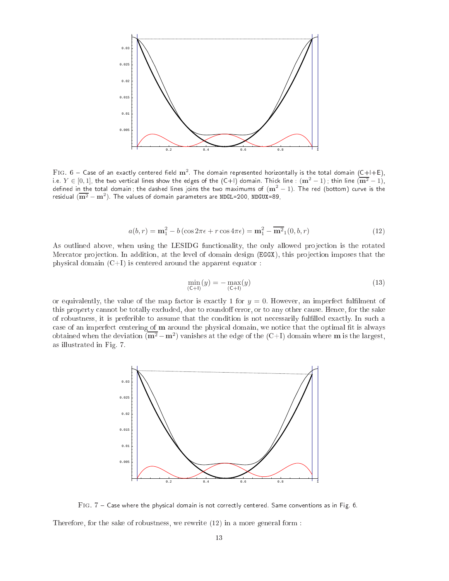

FIG.  $6$  – Case of an exactly centered field  $\text{m}^2$ . The domain represented horizontally is the total domain (C+I+E), i.e.  $Y\in[0,1]$ , the two vertical lines show the edges of the  $(\mathsf{C}{+}\mathsf{I})$  domain. Thick line :  $(\mathbf{m}^2-1)$ ; thin line  $(\mathbf{m}^2-1)$ , defined in the total domain ; the dashed lines joins the two maximums of  $({\bf m}^2-1)$ . The red (bottom) curve is the residual  $(\overline{{\bf m}^2}-{\bf m}^2)$ . The values of domain parameters are NDGL=200, NDGUX=89,

$$
a(b,r) = \mathbf{m}_1^2 - b(\cos 2\pi\epsilon + r\cos 4\pi\epsilon) = \mathbf{m}_1^2 - \overline{\mathbf{m}_1^2}(0,b,r)
$$
(12)

As outlined above, when using the LESIDG functionality, the only allowed projection is the rotated Mercator projection. In addition, at the level of domain design (EGGX), this projection imposes that the physical domain  $(C+I)$  is centered around the apparent equator :

$$
\min_{(C+1)}(y) = -\max_{(C+1)}(y) \tag{13}
$$

or equivalently, the value of the map factor is exactly 1 for  $y = 0$ . However, an imperfect fulfilment of this property cannot be totally excluded, due to roundoff error, or to any other cause. Hence, for the sake of robustness, it is preferible to assume that the condition is not necessarily fulfilled exactly. In such a case of an imperfect centering of m around the physical domain, we notice that the optimal fit is always obtained when the deviation  $(\overline{m^2} - m^2)$  vanishes at the edge of the  $(C+I)$  domain where m is the largest, as illustrated in Fig. 7.



Fig. 7 Case where the physi
al domain is not orre
tly entered. Same onventions as in Fig. 6.

Therefore, for the sake of robustness, we rewrite (12) in a more general form :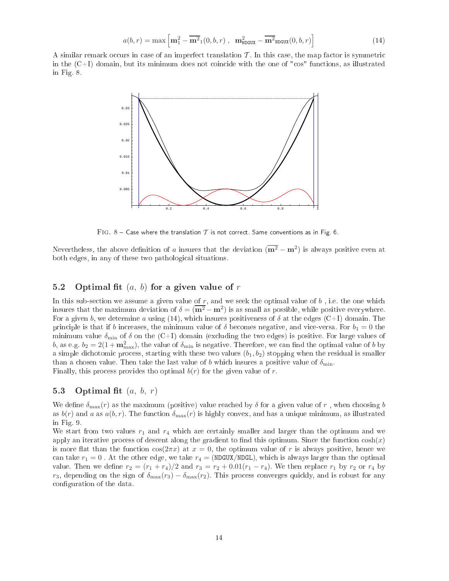$$
a(b,r) = \max\left[\mathbf{m}_1^2 - \overline{\mathbf{m}^2}_1(0,b,r), \ \mathbf{m}_{\text{NDGUX}}^2 - \overline{\mathbf{m}^2}_{\text{NDGUX}}(0,b,r)\right]
$$
(14)

A similar remark occurs in case of an imperfect translation  $\mathcal T$ . In this case, the map factor is symmetric in the  $(C+I)$  domain, but its minimum does not coincide with the one of "cos" functions, as illustrated in Fig. 8.



 $F$ IG.  $8$  – Case where the translation  $T$  is not correct. Same conventions as in Fig. 6.

Nevertheless, the above definition of a insures that the deviation  $(\overline{\mathbf{m}^2} - \mathbf{m}^2)$  is always positive even at both edges, in any of these two pathologi
al situations.

## 5.2 Optimal fit  $(a, b)$  for a given value of r

In this sub-section we assume a given value of  $r$ , and we seek the optimal value of  $b$ , i.e. the one which insures that the maximum deviation of  $\delta = (\mathbf{m}^2 - \mathbf{m}^2)$  is as small as possible, while positive everywhere. For a given b, we determine a using (14), which insures positiveness of  $\delta$  at the edges (C+I) domain. The principle is that if b increases, the minimum value of  $\delta$  becomes negative, and vice-versa. For  $b_1 = 0$  the minimum value  $\delta_{\min}$  of  $\delta$  on the (C+I) domain (excluding the two edges) is positive. For large values of b, as e.g.  $b_2 = 2(1 + m_{\text{max}}^2)$ , the value of  $\delta_{\text{min}}$  is negative. Therefore, we can find the optimal value of b by a simple dichotomic process, starting with these two values  $(b_1, b_2)$  stopping when the residual is smaller than a chosen value. Then take the last value of b which insures a positive value of  $\delta_{\min}$ . Finally, this process provides tho optimal  $b(r)$  for the given value of r.

## 5.3 Optimal fit  $(a, b, r)$

We define  $\delta_{\text{max}}(r)$  as the maximum (positive) value reached by  $\delta$  for a given value of r, when choosing b as  $b(r)$  and a as  $a(b, r)$ . The function  $\delta_{\text{max}}(r)$  is highly convex, and has a unique minimum, as illustrated in Fig. 9.

We start from two values  $r_1$  and  $r_4$  which are certainly smaller and larger than the optimum and we apply an iterative process of descent along the gradient to find this optimum. Since the function  $cosh(x)$ is more flat than the function  $\cos(2\pi x)$  at  $x=0$ , the optimum value of r is always positive, hence we can take  $r_1 = 0$ . At the other edge, we take  $r_4 = (NDGUX/NDGL)$ , which is always larger than the optimal value. Then we define  $r_2 = (r_1 + r_4)/2$  and  $r_3 = r_2 + 0.01(r_1 - r_4)$ . We then replace  $r_1$  by  $r_2$  or  $r_4$  by  $r_3$ , depending on the sign of  $\delta_{\max}(r_3) - \delta_{\max}(r_2)$ . This process converges quickly, and is robust for any configuration of the data.